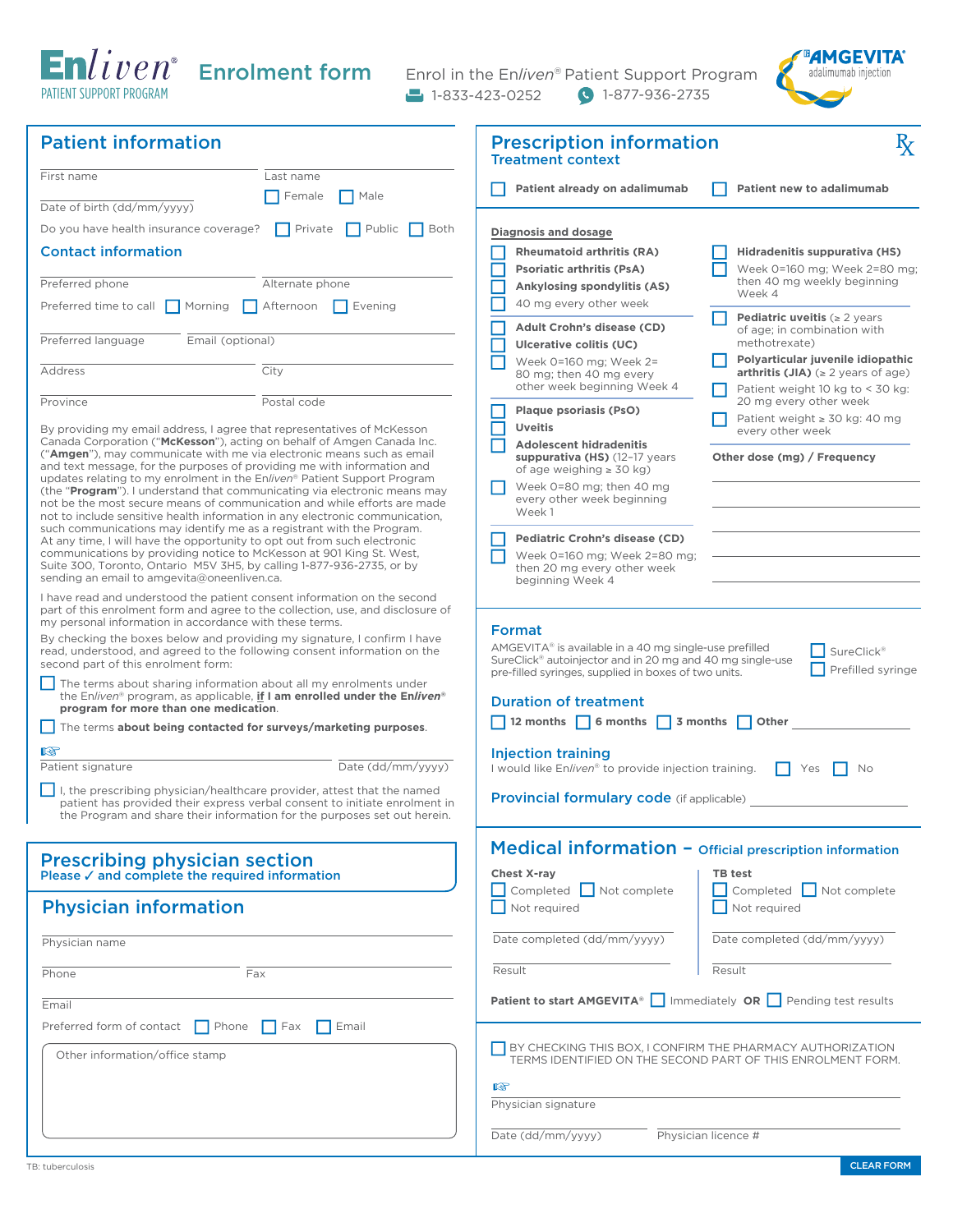PATIENT SUPPORT PROGRAM

Enrolment form Enrol in the En*liven*® Patient Support Program 1-833-423-0252 1-877-936-2735



| <b>Patient information</b>                                                                                                                                                                                                 | <b>Prescription information</b><br>$\mathbf{R}_{\mathbf{X}}$<br><b>Treatment context</b>                                                                                                                      |
|----------------------------------------------------------------------------------------------------------------------------------------------------------------------------------------------------------------------------|---------------------------------------------------------------------------------------------------------------------------------------------------------------------------------------------------------------|
| First name<br>Last name<br>Female<br>$\blacksquare$ Male                                                                                                                                                                   | Patient already on adalimumab<br>Patient new to adalimumab                                                                                                                                                    |
| Date of birth (dd/mm/yyyy)<br>$\Box$ Public<br>  Private<br>Both                                                                                                                                                           |                                                                                                                                                                                                               |
| Do you have health insurance coverage?<br><b>Contact information</b>                                                                                                                                                       | Diagnosis and dosage<br><b>Rheumatoid arthritis (RA)</b><br>Hidradenitis suppurativa (HS)                                                                                                                     |
|                                                                                                                                                                                                                            | Week 0=160 mg; Week 2=80 mg;<br><b>Psoriatic arthritis (PsA)</b>                                                                                                                                              |
| Preferred phone<br>Alternate phone                                                                                                                                                                                         | then 40 mg weekly beginning<br><b>Ankylosing spondylitis (AS)</b><br>Week 4                                                                                                                                   |
| Preferred time to call $\Box$ Morning $\Box$ Afternoon<br>$\Box$ Evening                                                                                                                                                   | 40 mg every other week<br><b>Pediatric uveitis (<math>\geq 2</math> years</b>                                                                                                                                 |
| Preferred language<br>Email (optional)                                                                                                                                                                                     | <b>Adult Crohn's disease (CD)</b><br>of age: in combination with<br>methotrexate)<br>Ulcerative colitis (UC)                                                                                                  |
| City<br>Address                                                                                                                                                                                                            | Polyarticular juvenile idiopathic<br>Week 0=160 mg; Week 2=<br>arthritis (JIA) $( \geq 2 \text{ years of age})$<br>80 mg; then 40 mg every<br>other week beginning Week 4<br>Patient weight 10 kg to < 30 kg: |
| Postal code<br>Province                                                                                                                                                                                                    | 20 mg every other week<br><b>Plaque psoriasis (PsO)</b>                                                                                                                                                       |
| By providing my email address, I agree that representatives of McKesson                                                                                                                                                    | Patient weight $\geq 30$ kg: 40 mg<br><b>Uveitis</b><br>every other week                                                                                                                                      |
| Canada Corporation ("McKesson"), acting on behalf of Amgen Canada Inc.<br>("Amgen"), may communicate with me via electronic means such as email<br>and text message, for the purposes of providing me with information and | <b>Adolescent hidradenitis</b><br>Other dose (mg) / Frequency<br>suppurativa (HS) (12-17 years<br>of age weighing $\geq 30$ kg)                                                                               |
| updates relating to my enrolment in the Enliven® Patient Support Program<br>(the " <b>Program</b> "). I understand that communicating via electronic means may                                                             | Week 0=80 mg; then 40 mg<br>every other week beginning                                                                                                                                                        |
| not be the most secure means of communication and while efforts are made<br>not to include sensitive health information in any electronic communication,                                                                   | Week1                                                                                                                                                                                                         |
| such communications may identify me as a registrant with the Program.<br>At any time, I will have the opportunity to opt out from such electronic                                                                          | Pediatric Crohn's disease (CD)                                                                                                                                                                                |
| communications by providing notice to McKesson at 901 King St. West,<br>Suite 300, Toronto, Ontario M5V 3H5, by calling 1-877-936-2735, or by                                                                              | Week 0=160 mg; Week 2=80 mg;<br>then 20 mg every other week                                                                                                                                                   |
| sending an email to amgevita@oneenliven.ca.                                                                                                                                                                                | beginning Week 4                                                                                                                                                                                              |
| I have read and understood the patient consent information on the second<br>part of this enrolment form and agree to the collection, use, and disclosure of                                                                |                                                                                                                                                                                                               |
| my personal information in accordance with these terms.<br>By checking the boxes below and providing my signature, I confirm I have                                                                                        | Format                                                                                                                                                                                                        |
| read, understood, and agreed to the following consent information on the<br>second part of this enrolment form:                                                                                                            | AMGEVITA® is available in a 40 mg single-use prefilled<br><b>SureClick®</b><br>SureClick® autoinjector and in 20 mg and 40 mg single-use                                                                      |
| The terms about sharing information about all my enrolments under                                                                                                                                                          | Prefilled syringe<br>pre-filled syringes, supplied in boxes of two units.                                                                                                                                     |
| the Enliven <sup>®</sup> program, as applicable, if I am enrolled under the Enliven <sup>®</sup><br>program for more than one medication.                                                                                  | <b>Duration of treatment</b>                                                                                                                                                                                  |
| The terms about being contacted for surveys/marketing purposes.                                                                                                                                                            | 12 months 6 months 3 months<br>Other                                                                                                                                                                          |
| 隐                                                                                                                                                                                                                          | <b>Injection training</b>                                                                                                                                                                                     |
| Date (dd/mm/yyyy)<br>Patient signature                                                                                                                                                                                     | I would like Enliven® to provide injection training.<br>Yes<br>No                                                                                                                                             |
| $\vert \vert$ I, the prescribing physician/healthcare provider, attest that the named<br>patient has provided their express verbal consent to initiate enrolment in                                                        | <b>Provincial formulary code</b> (if applicable)                                                                                                                                                              |
| the Program and share their information for the purposes set out herein.                                                                                                                                                   |                                                                                                                                                                                                               |
|                                                                                                                                                                                                                            | Medical information - Official prescription information                                                                                                                                                       |
| Prescribing physician section<br>Please $\checkmark$ and complete the required information                                                                                                                                 | <b>Chest X-ray</b><br><b>TB</b> test                                                                                                                                                                          |
| <b>Physician information</b>                                                                                                                                                                                               | $\Box$ Completed $\Box$ Not complete<br>Completed   Not complete<br>Not required<br>Not required                                                                                                              |
| Physician name                                                                                                                                                                                                             | Date completed (dd/mm/yyyy)<br>Date completed (dd/mm/yyyy)                                                                                                                                                    |
| Phone<br>Fax                                                                                                                                                                                                               | Result<br>Result                                                                                                                                                                                              |
| Email                                                                                                                                                                                                                      | Patient to start AMGEVITA®   Immediately OR   Pending test results                                                                                                                                            |
| Preferred form of contact $\Box$ Phone<br>$\Box$ Fax<br>$\vert$ Email                                                                                                                                                      |                                                                                                                                                                                                               |
| Other information/office stamp                                                                                                                                                                                             | BY CHECKING THIS BOX, I CONFIRM THE PHARMACY AUTHORIZATION<br>TERMS IDENTIFIED ON THE SECOND PART OF THIS ENROLMENT FORM.                                                                                     |
|                                                                                                                                                                                                                            | 瑶                                                                                                                                                                                                             |
|                                                                                                                                                                                                                            | Physician signature                                                                                                                                                                                           |
|                                                                                                                                                                                                                            | Date (dd/mm/yyyy)<br>Physician licence #                                                                                                                                                                      |
|                                                                                                                                                                                                                            |                                                                                                                                                                                                               |